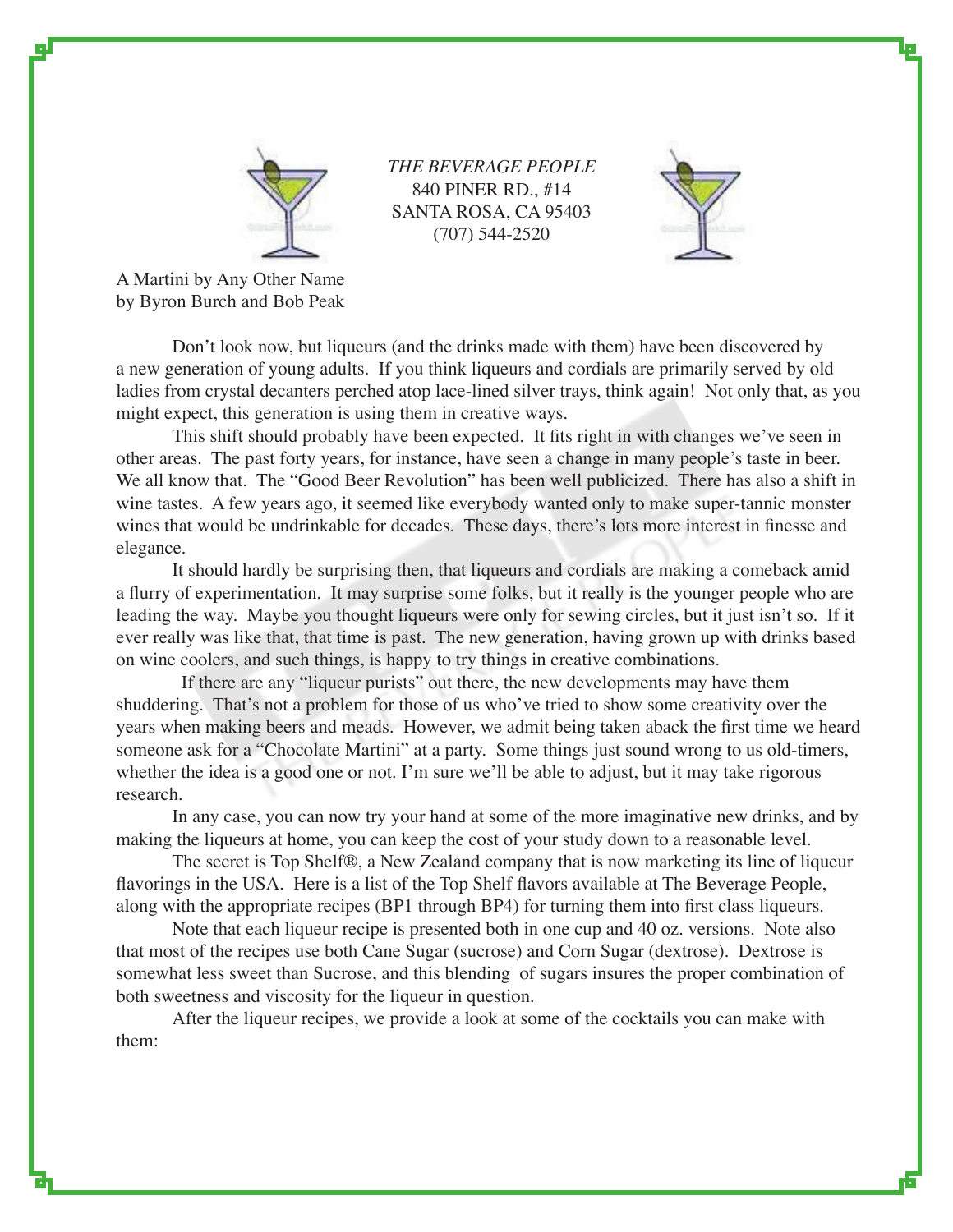

*THE BEVERAGE PEOPLE* 840 PINER RD., #14 SANTA ROSA, CA 95403 (707) 544-2520



A Martini by Any Other Name by Byron Burch and Bob Peak

 Don't look now, but liqueurs (and the drinks made with them) have been discovered by a new generation of young adults. If you think liqueurs and cordials are primarily served by old ladies from crystal decanters perched atop lace-lined silver trays, think again! Not only that, as you might expect, this generation is using them in creative ways.

 This shift should probably have been expected. It fits right in with changes we've seen in other areas. The past forty years, for instance, have seen a change in many people's taste in beer. We all know that. The "Good Beer Revolution" has been well publicized. There has also a shift in wine tastes. A few years ago, it seemed like everybody wanted only to make super-tannic monster wines that would be undrinkable for decades. These days, there's lots more interest in finesse and elegance.

It should hardly be surprising then, that liqueurs and cordials are making a comeback amid a flurry of experimentation. It may surprise some folks, but it really is the younger people who are leading the way. Maybe you thought liqueurs were only for sewing circles, but it just isn't so. If it ever really was like that, that time is past. The new generation, having grown up with drinks based on wine coolers, and such things, is happy to try things in creative combinations.

 If there are any "liqueur purists" out there, the new developments may have them shuddering. That's not a problem for those of us who've tried to show some creativity over the years when making beers and meads. However, we admit being taken aback the first time we heard someone ask for a "Chocolate Martini" at a party. Some things just sound wrong to us old-timers, whether the idea is a good one or not. I'm sure we'll be able to adjust, but it may take rigorous research.

In any case, you can now try your hand at some of the more imaginative new drinks, and by making the liqueurs at home, you can keep the cost of your study down to a reasonable level.

The secret is Top Shelf®, a New Zealand company that is now marketing its line of liqueur flavorings in the USA. Here is a list of the Top Shelf flavors available at The Beverage People, along with the appropriate recipes (BP1 through BP4) for turning them into first class liqueurs.

Note that each liqueur recipe is presented both in one cup and 40 oz. versions. Note also that most of the recipes use both Cane Sugar (sucrose) and Corn Sugar (dextrose). Dextrose is somewhat less sweet than Sucrose, and this blending of sugars insures the proper combination of both sweetness and viscosity for the liqueur in question.

After the liqueur recipes, we provide a look at some of the cocktails you can make with them: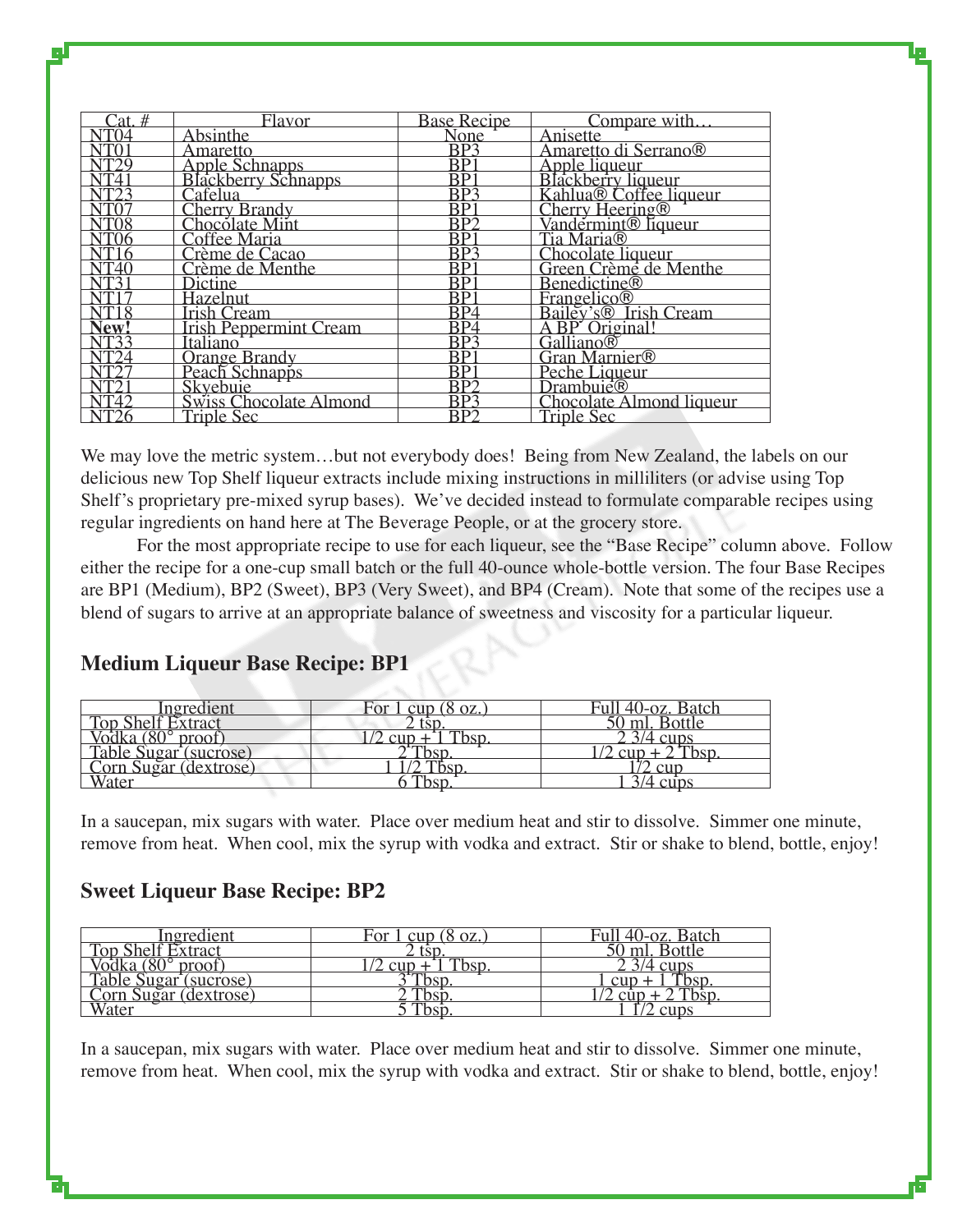| Cat. #                    | Flavor                                                       | Base Recipe             | Compare with                                                                                                                                  |
|---------------------------|--------------------------------------------------------------|-------------------------|-----------------------------------------------------------------------------------------------------------------------------------------------|
| 704                       | <b>Absinthe</b>                                              | None                    | Anisette                                                                                                                                      |
|                           | <u>Amaretto</u>                                              | $\overline{BP3}$        | Amaretto di Serrano®                                                                                                                          |
|                           | Apple Schnapps<br>Blackberry Schnapps<br>Cafelua             | $\overline{\text{BP}}$  | Aniarcho di Scrianos<br>Apple liqueur<br>Blackberry liqueur<br>Kahlua® Coffee liqueur<br>Cherry Heering®<br>Vandermint® liqueur<br>Tia Maria® |
| $\overline{\text{NT4}}$   |                                                              | $\overline{BP1}$        |                                                                                                                                               |
|                           |                                                              | $\overline{BP3}$        |                                                                                                                                               |
|                           | Cherry Brandy<br>Chocolate Mint                              | BPI                     |                                                                                                                                               |
|                           |                                                              | $\overline{BP2}$        |                                                                                                                                               |
| $\overline{\text{NT}}$ 06 | Coffee Maria                                                 | $\overline{BP1}$        |                                                                                                                                               |
| $\overline{\text{NT}}$ 16 | Crème de Cacao                                               | $\overline{\text{BP3}}$ |                                                                                                                                               |
|                           | Crème de Menthe                                              | $\overline{\text{BP}}$  | Chocolate liqueur<br>Green Crème de Menthe                                                                                                    |
|                           | Dictine                                                      | $\overline{\text{BP}}$  | <b>Benedictine®</b>                                                                                                                           |
|                           | Hazelnut                                                     | <b>BP1</b>              | Frangelico®<br>Bailey's® Irish Cream<br>A BP Original!<br>Galliano®                                                                           |
| NT18                      | Trish Cream<br>Trish Peppermint Cream<br>Italiano            | $\overline{BP4}$        |                                                                                                                                               |
| New!<br>NT33              |                                                              | $\overline{BP4}$        |                                                                                                                                               |
|                           |                                                              | $\overline{\text{BP3}}$ |                                                                                                                                               |
| NT24                      |                                                              | $\overline{BP}$         | Gran Marnier®                                                                                                                                 |
|                           | Orange Brandy<br>Peach Schnapps                              | $\overline{\text{BP}}$  |                                                                                                                                               |
|                           |                                                              | $\overline{\text{BP2}}$ | Peche Liqueur<br>Drambuie®                                                                                                                    |
| NT42                      |                                                              | BP3                     |                                                                                                                                               |
|                           | Skyebuie<br>Skyebuie<br>Swiss Chocolate Almond<br>Triple Sec | $\overline{BP2}$        | Chocolate Almond liqueur<br>Triple Sec                                                                                                        |

We may love the metric system...but not everybody does! Being from New Zealand, the labels on our delicious new Top Shelf liqueur extracts include mixing instructions in milliliters (or advise using Top Shelf's proprietary pre-mixed syrup bases). We've decided instead to formulate comparable recipes using regular ingredients on hand here at The Beverage People, or at the grocery store.

 For the most appropriate recipe to use for each liqueur, see the "Base Recipe" column above. Follow either the recipe for a one-cup small batch or the full 40-ounce whole-bottle version. The four Base Recipes are BP1 (Medium), BP2 (Sweet), BP3 (Very Sweet), and BP4 (Cream). Note that some of the recipes use a blend of sugars to arrive at an appropriate balance of sweetness and viscosity for a particular liqueur.

| Ingredient                                     | For 1 cup $(8 \text{ oz.})$ | Full 40-oz. Batch |
|------------------------------------------------|-----------------------------|-------------------|
| <b>Top Shelf Extract</b>                       |                             | 50 ml. Bottle     |
| proof                                          |                             | /4 cups           |
| Table Sugar (sucrose)<br>Corn Sugar (dextrose) | bsp                         |                   |
|                                                |                             |                   |
| <b>Vater</b>                                   |                             |                   |
|                                                |                             |                   |

# **Medium Liqueur Base Recipe: BP1**

In a saucepan, mix sugars with water. Place over medium heat and stir to dissolve. Simmer one minute, remove from heat. When cool, mix the syrup with vodka and extract. Stir or shake to blend, bottle, enjoy!

# **Sweet Liqueur Base Recipe: BP2**

| <u>Ingredient</u>                              | <u>For 1 cup (8 oz.)</u> | Full 40-oz. Batch  |
|------------------------------------------------|--------------------------|--------------------|
| <b>Top Shelf Extract</b>                       |                          | 50 ml. Bottle      |
| proof                                          |                          | $\frac{3}{4}$ cups |
| Table Sugar (sucrose)<br>Corn Sugar (dextrose) | <u>bst</u>               | $\Omega$ cup       |
|                                                | `bsr                     |                    |
| <b>Vater</b>                                   | bsp                      | cups               |

In a saucepan, mix sugars with water. Place over medium heat and stir to dissolve. Simmer one minute, remove from heat. When cool, mix the syrup with vodka and extract. Stir or shake to blend, bottle, enjoy!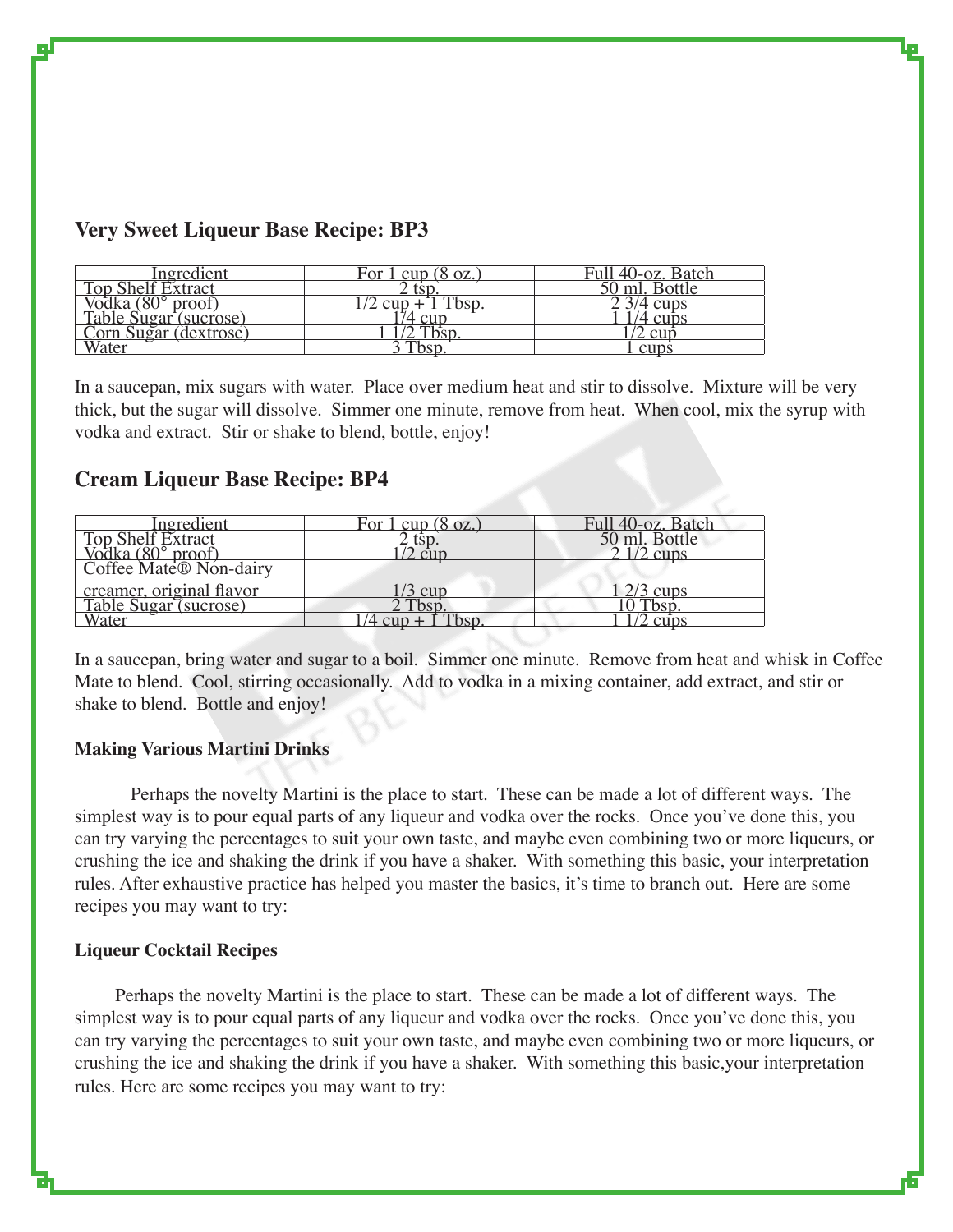| Ingredient            | For $1 \text{ cup} (8 \text{ oz.})$ | Full 40-oz. Batch |
|-----------------------|-------------------------------------|-------------------|
| Top Shelf Extract     | tsp                                 | $0$ ml. Bottle    |
| Vodka (80° proof)     | Then                                | $3/4$ cups        |
| Table Sugar (sucrose) | cur                                 | $'4$ cups         |
| Corn Sugar (dextrose) |                                     | : cur             |
| Water                 | Tbsp                                | cups              |

# **Very Sweet Liqueur Base Recipe: BP3**

In a saucepan, mix sugars with water. Place over medium heat and stir to dissolve. Mixture will be very thick, but the sugar will dissolve. Simmer one minute, remove from heat. When cool, mix the syrup with vodka and extract. Stir or shake to blend, bottle, enjoy!

## **Cream Liqueur Base Recipe: BP4**

| Ingredient                                                 | For 1 cup $(8 \text{ oz.})$ | Full 40-oz. Batch |
|------------------------------------------------------------|-----------------------------|-------------------|
| Top Shelf Extract                                          |                             | 50 ml. Bottle     |
|                                                            | cut                         | $1/2$ cups        |
| Vodka (80° proof)<br>Coffee Mate® Non-dairy                |                             |                   |
| creamer, original flavor<br>Table Sugar (sucrose)<br>Water | 3 cur                       | $2/3$ cups        |
|                                                            | 2 Tbsp                      | Tbsp.             |
|                                                            |                             |                   |

In a saucepan, bring water and sugar to a boil. Simmer one minute. Remove from heat and whisk in Coffee Mate to blend. Cool, stirring occasionally. Add to vodka in a mixing container, add extract, and stir or shake to blend. Bottle and enjoy!

### **Making Various Martini Drinks**

Perhaps the novelty Martini is the place to start. These can be made a lot of different ways. The simplest way is to pour equal parts of any liqueur and vodka over the rocks. Once you've done this, you can try varying the percentages to suit your own taste, and maybe even combining two or more liqueurs, or crushing the ice and shaking the drink if you have a shaker. With something this basic, your interpretation rules. After exhaustive practice has helped you master the basics, it's time to branch out. Here are some recipes you may want to try:

### **Liqueur Cocktail Recipes**

 Perhaps the novelty Martini is the place to start. These can be made a lot of different ways. The simplest way is to pour equal parts of any liqueur and vodka over the rocks. Once you've done this, you can try varying the percentages to suit your own taste, and maybe even combining two or more liqueurs, or crushing the ice and shaking the drink if you have a shaker. With something this basic,your interpretation rules. Here are some recipes you may want to try: